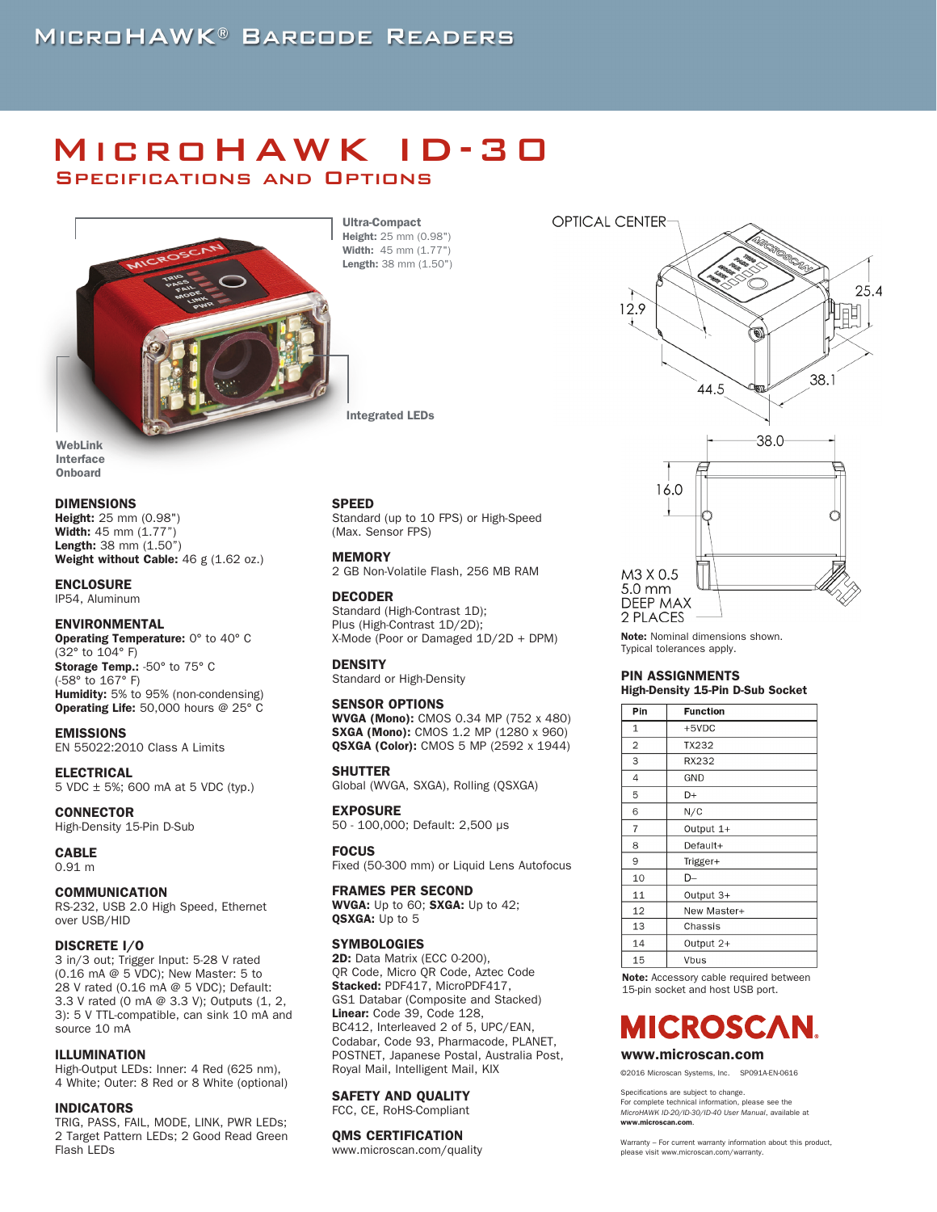# MicroHAWK ID-30

Specifications and Options



Ultra-Compact Height: 25 mm (0.98") Width: 45 mm (1.77") Length: 38 mm (1.50")

Integrated LEDs

WebLink Interface **Onboard** 

#### DIMENSIONS

Height: 25 mm (0.98") Width: 45 mm (1.77") Length: 38 mm (1.50") Weight without Cable: 46 g (1.62 oz.)

ENCLOSURE IP54, Aluminum

#### ENVIRONMENTAL

Operating Temperature: 0° to 40° C (32° to 104° F) Storage Temp.: - 50° to 75° C (-58° to 167° F) Humidity: 5% to 95% (non-condensing) **Operating Life:** 50,000 hours @ 25° C

EMISSIONS EN 55022:2010 Class A Limits

ELECTRICAL 5 VDC ± 5%; 600 mA at 5 VDC (typ.)

**CONNECTOR** High-Density 15-Pin D-Sub

CABLE 0.91 m

#### COMMUNICATION

RS-232, USB 2.0 High Speed, Ethernet over USB/HID

#### DISCRETE I/O

3 in/3 out; Trigger Input: 5-28 V rated (0.16 mA @ 5 VDC); New Master: 5 to 28 V rated (0.16 mA @ 5 VDC); Default: 3.3 V rated (0 mA @ 3.3 V); Outputs (1, 2, 3): 5 V TTL-compatible, can sink 10 mA and source 10 mA

#### ILLUMINATION

High-Output LEDs: Inner: 4 Red (625 nm), 4 White; Outer: 8 Red or 8 White (optional)

#### INDICATORS

TRIG, PASS, FAIL, MODE, LINK, PWR LEDs; 2 Target Pattern LEDs; 2 Good Read Green Flash LEDs

SPEED

Standard (up to 10 FPS) or High-Speed (Max. Sensor FPS)

#### **MEMORY**

2 GB Non-Volatile Flash, 256 MB RAM

#### DECODER

Standard (High-Contrast 1D); Plus (High-Contrast 1D/2D); X-Mode (Poor or Damaged 1D/2D + DPM)

#### **DENSITY**

Standard or High-Density

#### SENSOR OPTIONS

WVGA (Mono): CMOS 0.34 MP (752 x 480) SXGA (Mono): CMOS 1.2 MP (1280 x 960) QSXGA (Color): CMOS 5 MP (2592 x 1944)

#### **SHUTTER**

Global (WVGA, SXGA), Rolling (QSXGA)

# EXPOSURE

50 - 100,000; Default: 2,500 μs

#### FOCUS

Fixed (50-300 mm) or Liquid Lens Autofocus

#### FRAMES PER SECOND

WVGA: Up to 60; SXGA: Up to 42; QSXGA: Up to 5

#### SYMBOLOGIES

2D: Data Matrix (ECC 0-200), QR Code, Micro QR Code, Aztec Code Stacked: PDF417, MicroPDF417, GS1 Databar (Composite and Stacked) Linear: Code 39, Code 128, BC412, Interleaved 2 of 5, UPC/EAN, Codabar, Code 93, Pharmacode, PLANET, POSTNET, Japanese Postal, Australia Post, Royal Mail, Intelligent Mail, KIX

## SAFETY AND QUALITY

FCC, CE, RoHS-Compliant

#### QMS CERTIFICATION

www.microscan.com/quality



Note: Nominal dimensions shown. Typical tolerances apply.

#### PIN ASSIGNMENTS High-Density 15-Pin D-Sub Socket

| Pin            | Function    |
|----------------|-------------|
| $\mathbf{1}$   | $+5VDC$     |
| $\overline{2}$ | TX232       |
| 3              | RX232       |
| 4              | GND         |
| 5              | D+          |
| 6              | N/C         |
| 7              | Output 1+   |
| 8              | Default+    |
| 9              | Trigger+    |
| 10             | D-          |
| 11             | Output 3+   |
| 12             | New Master+ |
| 13             | Chassis     |
| 14             | Output 2+   |
| 15             | Vbus        |

Note: Accessory cable required between 15-pin socket and host USB port.

# MICROSCAN.

# www.microscan.com

©2016 Microscan Systems, Inc. SP091A-EN-0616

Specifications are subject to change. For complete technical information, please see the *MicroHAWK ID-20/ID-30/ID-40 User Manual*, available at www.microscan.com.

Warranty – For current warranty information about this product, please visit www.microscan.com/warranty.